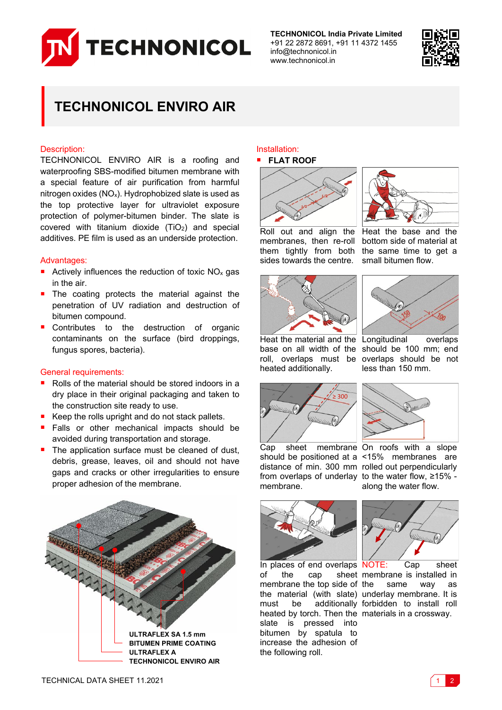

**TECHNONICOL India Private Limited** +91 22 2872 8691, +91 11 4372 1455 info@technonicol.in www.technonicol.in



## **TECHNONICOL ENVIRO AIR**

#### Description:

TECHNONICOL ENVIRO AIR is a roofing and waterproofing SBS-modified bitumen membrane with a special feature of air purification from harmful nitrogen oxides  $(NO_x)$ . Hydrophobized slate is used as the top protective layer for ultraviolet exposure protection of polymer-bitumen binder. The slate is covered with titanium dioxide  $(TiO<sub>2</sub>)$  and special additives. PE film is used as an underside protection.

#### Advantages:

- Actively influences the reduction of toxic  $NO<sub>x</sub>$  gas in the air.
- **The coating protects the material against the** penetration of UV radiation and destruction of bitumen compound.
- Contributes to the destruction of organic contaminants on the surface (bird droppings, fungus spores, bacteria).

#### General requirements:

- Rolls of the material should be stored indoors in a dry place in their original packaging and taken to the construction site ready to use.
- Keep the rolls upright and do not stack pallets.
- **Falls or other mechanical impacts should be** avoided during transportation and storage.
- The application surface must be cleaned of dust, debris, grease, leaves, oil and should not have gaps and cracks or other irregularities to ensure proper adhesion of the membrane.



### Installation:

# **FLAT ROOF**



Roll out and align the membranes, then re-roll them tightly from both sides towards the centre.





Heat the base and the bottom side of material at the same time to get a small bitumen flow.



Heat the material and the Longitudinal overlaps base on all width of the should be 100 mm; end roll, overlaps must be overlaps should be not heated additionally.





Cap sheet membrane On roofs with a slope should be positioned at a <15% membranes are distance of min. 300 mm rolled out perpendicularly from overlaps of underlay to the water flow, ≥15% membrane.



along the water flow.



of the cap sheet membrane is installed in membrane the top side of the material (with slate) underlay membrane. It is must be additionally forbidden to install roll heated by torch. Then the materials in a crossway. slate is pressed into bitumen by spatula to increase the adhesion of the following roll.



In places of end overlaps NOTE: Cap sheet same way as